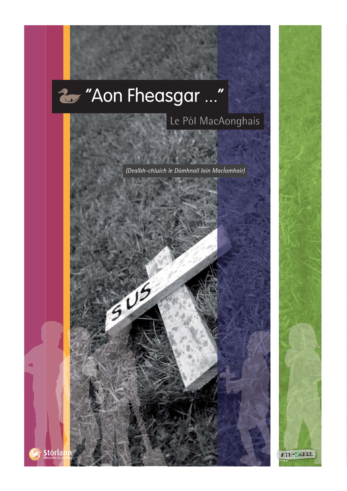# 2 "Aon Fheasgar ..."

 $505$ 

## Le Pòl MacAonghais

ATH-SGEUL

(Dealbh-chluich le Dòmhnall Iain MacÌomhair)

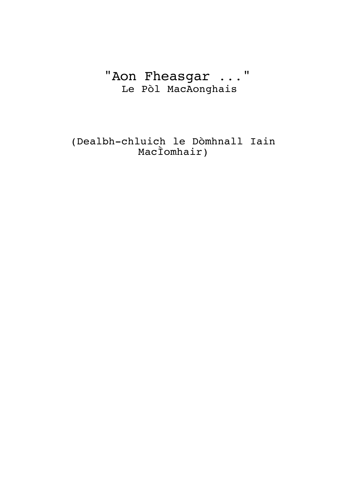## "Aon Fheasgar ..." Le Pòl MacAonghais

(Dealbh-chluich le Dòmhnall Iain MacÌomhair)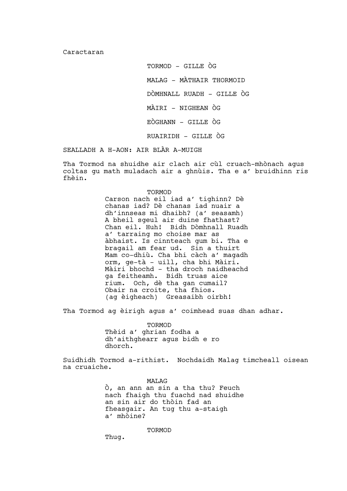Caractaran

TORMOD - GILLE ÒG MALAG – MÀTHAIR THORMOID DÒMHNALL RUADH - GILLE ÒG MÀIRI - NIGHEAN ÒG EÒGHANN - GILLE ÒG RUAIRIDH - GILLE ÒG

SEALLADH A H-AON: AIR BLÀR A-MUIGH

Tha Tormod na shuidhe air clach air cùl cruach-mhònach agus coltas gu math muladach air a ghnùis. Tha e a' bruidhinn ris fhèin.

> TORMOD Carson nach eil iad a' tighinn? Dè chanas iad? Dè chanas iad nuair a dh'innseas mi dhaibh? (a' seasamh) A bheil sgeul air duine fhathast? Chan eil. Huh! Bidh Dòmhnall Ruadh a' tarraing mo choise mar as àbhaist. Is cinnteach gum bi. Tha e bragail am fear ud. Sin a thuirt Mam co-dhiù. Cha bhi càch a' magadh orm, ge-tà – uill, cha bhi Màiri. Màiri bhochd – tha droch naidheachd ga feitheamh. Bidh truas aice rium. Och, dè tha gan cumail? Obair na croite, tha fhios. (ag èigheach) Greasaibh oirbh!

Tha Tormod ag èirigh agus a' coimhead suas dhan adhar.

TORMOD Thèid a' ghrian fodha a dh'aithghearr agus bidh e ro dhorch.

Suidhidh Tormod a-rithist. Nochdaidh Malag timcheall oisean na cruaiche.

> MALAG Ò, an ann an sin a tha thu? Feuch nach fhaigh thu fuachd nad shuidhe an sin air do thòin fad an fheasgair. An tug thu a-staigh a' mhòine?

> > TORMOD

Thug.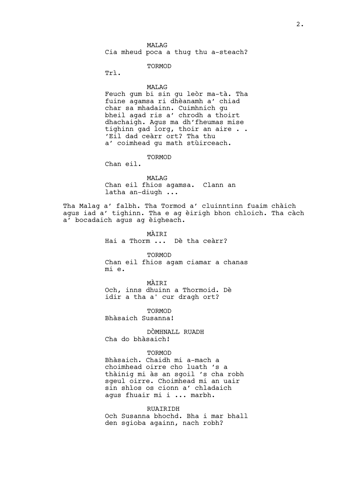TORMOD

Trì.

#### MALAG

Feuch gum bi sin gu leòr ma-tà. Tha fuine agamsa ri dhèanamh a' chiad char sa mhadainn. Cuimhnich gu bheil agad ris a' chrodh a thoirt dhachaigh. Agus ma dh'fheumas mise tighinn gad lorg, thoir an aire . . 'Eil dad ceàrr ort? Tha thu a' coimhead gu math stùirceach.

TORMOD

Chan eil.

MALAG Chan eil fhios agamsa. Clann an latha an-diugh ...

Tha Malag a' falbh. Tha Tormod a' cluinntinn fuaim chàich agus iad a' tighinn. Tha e ag èirigh bhon chloich. Tha càch a' bocadaich agus ag èigheach.

> MÀTRT Hai a Thorm ... Dè tha ceàrr?

> > TORMOD

Chan eil fhios agam ciamar a chanas mi e.

MÀIRI Och, inns dhuinn a Thormoid. Dè idir a tha a' cur dragh ort?

TORMOD Bhàsaich Susanna!

DÒMHNALL RUADH Cha do bhàsaich!

#### TORMOD

Bhàsaich. Chaidh mi a-mach a choimhead oirre cho luath 's a thàinig mi às an sgoil 's cha robh sgeul oirre. Choimhead mi an uair sin shìos os cionn a' chladaich agus fhuair mi i ... marbh.

#### **RUATRIDH**

Och Susanna bhochd. Bha i mar bhall den sgioba againn, nach robh?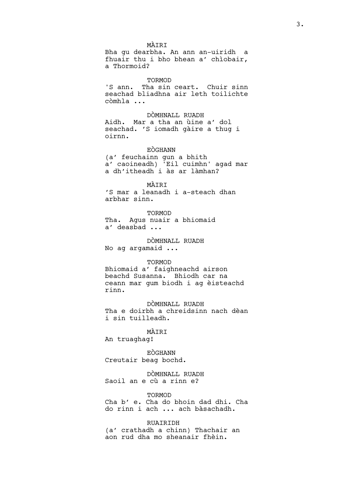a Thormoid? TORMOD 'S ann. Tha sin ceart. Chuir sinn

seachad bliadhna air leth toilichte còmhla ...

DÒMHNALL RUADH Aidh. Mar a tha an ùine a' dol seachad. 'S iomadh gàire a thug i oirnn.

EÒGHANN (a' feuchainn gun a bhith a' caoineadh) 'Eil cuimhn' agad mar a dh'itheadh i às ar làmhan?

MÀIRI 'S mar a leanadh i a-steach dhan arbhar sinn.

TORMOD Tha. Agus nuair a bhiomaid a' deasbad ...

DÒMHNALL RUADH No ag argamaid ...

#### TORMOD

Bhiomaid a' faighneachd airson beachd Susanna. Bhiodh car na ceann mar gum biodh i ag èisteachd rinn.

DÒMHNALL RUADH Tha e doirbh a chreidsinn nach dèan i sin tuilleadh.

### MÀIRI

An truaghag!

EÒGHANN Creutair beag bochd.

DÒMHNALL RUADH Saoil an e cù a rinn e?

**TORMOD** Cha b' e. Cha do bhoin dad dhi. Cha do rinn i ach ... ach bàsachadh.

RUAIRIDH (a' crathadh a chinn) Thachair an aon rud dha mo sheanair fhèin.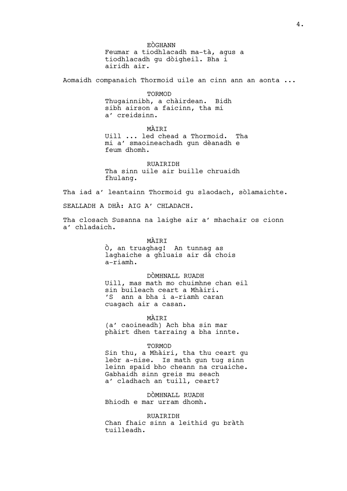EÒGHANN Feumar a tiodhlacadh ma-tà, agus a tiodhlacadh gu dòigheil. Bha i airidh air.

Aomaidh companaich Thormoid uile an cinn ann an aonta ...

**TORMOD** Thugainnibh, a chàirdean. Bidh sibh airson a faicinn, tha mi a' creidsinn.

MÀIRI Uill ... led chead a Thormoid. Tha mi a' smaoineachadh gun dèanadh e feum dhomh.

**RUATRIDH** Tha sinn uile air buille chruaidh fhulang.

Tha iad a' leantainn Thormoid gu slaodach, sòlamaichte.

SEALLADH A DHÀ: AIG A' CHLADACH.

Tha closach Susanna na laighe air a' mhachair os cionn a' chladaich.

> MÀTRT Ò, an truaghag! An tunnag as laghaiche a ghluais air dà chois a-riamh.

DÒMHNALL RUADH Uill, mas math mo chuimhne chan eil sin buileach ceart a Mhàiri. 'S ann a bha i a-riamh caran cuagach air a casan.

MÀTRT

(a' caoineadh) Ach bha sin mar phàirt dhen tarraing a bha innte.

#### TORMOD

Sin thu, a Mhàiri, tha thu ceart gu leòr a-nise. Is math gun tug sinn leinn spaid bho cheann na cruaiche. Gabhaidh sinn greis mu seach a' cladhach an tuill, ceart?

DÒMHNALL RUADH Bhiodh e mar urram dhomh.

**RUATRIDH** Chan fhaic sinn a leithid gu bràth tuilleadh.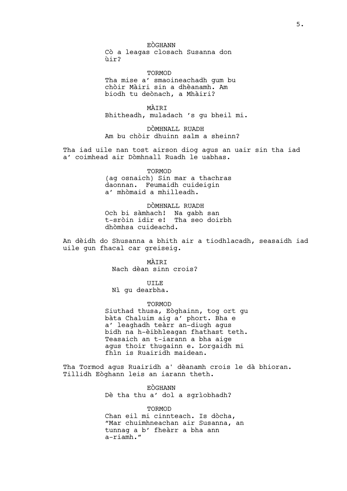EÒGHANN Cò a leagas closach Susanna don ùir?

TORMOD Tha mise a' smaoineachadh gum bu chòir Màiri sin a dhèanamh. Am biodh tu deònach, a Mhàiri?

MÀIRI Bhitheadh, muladach 's gu bheil mi.

DÒMHNALL RUADH Am bu chòir dhuinn salm a sheinn?

Tha iad uile nan tost airson diog agus an uair sin tha iad a' coimhead air Dòmhnall Ruadh le uabhas.

TORMOD

(ag osnaich) Sin mar a thachras daonnan. Feumaidh cuideigin a' mhòmaid a mhilleadh.

DÒMHNALL RUADH Och bi sàmhach! Na gabh san t-sròin idir e! Tha seo doirbh dhòmhsa cuideachd.

An dèidh do Shusanna a bhith air a tiodhlacadh, seasaidh iad uile gun fhacal car greiseig.

> MÀIRI Nach dèan sinn crois?

> > UILE

Nì gu dearbha.

TORMOD

Siuthad thusa, Eòghainn, tog ort gu bàta Chaluim aig a' phort. Bha e a' leaghadh teàrr an-diugh agus bidh na h-èibhleagan fhathast teth. Teasaich an t-iarann a bha aige agus thoir thugainn e. Lorgaidh mi fhìn is Ruairidh maidean.

Tha Tormod agus Ruairidh a' dèanamh crois le dà bhioran. Tillidh Eòghann leis an iarann theth.

> EÒGHANN Dè tha thu a' dol a sgrìobhadh?

**TORMOD** Chan eil mi cinnteach. Is dòcha, "Mar chuimhneachan air Susanna, an tunnag a b' fheàrr a bha ann a-riamh."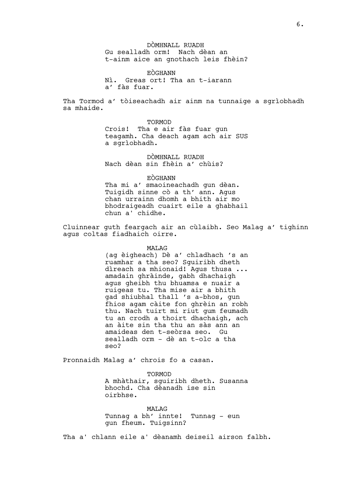DÒMHNALL RUADH Gu sealladh orm! Nach dèan an t-ainm aice an gnothach leis fhèin?

EÒGHANN Nì. Greas ort! Tha an t-iarann a' fàs fuar.

Tha Tormod a' tòiseachadh air ainm na tunnaige a sgrìobhadh sa mhaide.

TORMOD

Crois! Tha e air fàs fuar gun teagamh. Cha deach agam ach air SUS a sgrìobhadh.

DÒMHNALL RUADH Nach dèan sin fhèin a' chùis?

#### EÒGHANN

Tha mi a' smaoineachadh gun dèan. Tuigidh sinne cò a th' ann. Agus chan urrainn dhomh a bhith air mo bhodraigeadh cuairt eile a ghabhail chun a' chidhe.

Cluinnear guth feargach air an cùlaibh. Seo Malag a' tighinn agus coltas fiadhaich oirre.

#### MALAG

(ag èigheach) Dè a' chladhach 's an ruamhar a tha seo? Sguiribh dheth dìreach sa mhionaid! Agus thusa ... amadain ghràinde, gabh dhachaigh agus gheibh thu bhuamsa e nuair a ruigeas tu. Tha mise air a bhith gad shiubhal thall 's a-bhos, gun fhios agam càite fon ghrèin an robh thu. Nach tuirt mi riut gum feumadh tu an crodh a thoirt dhachaigh, ach an àite sin tha thu an sàs ann an amaideas den t-seòrsa seo. Gu sealladh orm – dè an t-olc a tha seo?

Pronnaidh Malag a' chrois fo a casan.

#### **TORMOD**

A mhàthair, sguiribh dheth. Susanna bhochd. Cha dèanadh ise sin oirbhse.

MAT<sub>AG</sub> Tunnag a bh' innte! Tunnag – eun gun fheum. Tuigsinn?

Tha a' chlann eile a' dèanamh deiseil airson falbh.